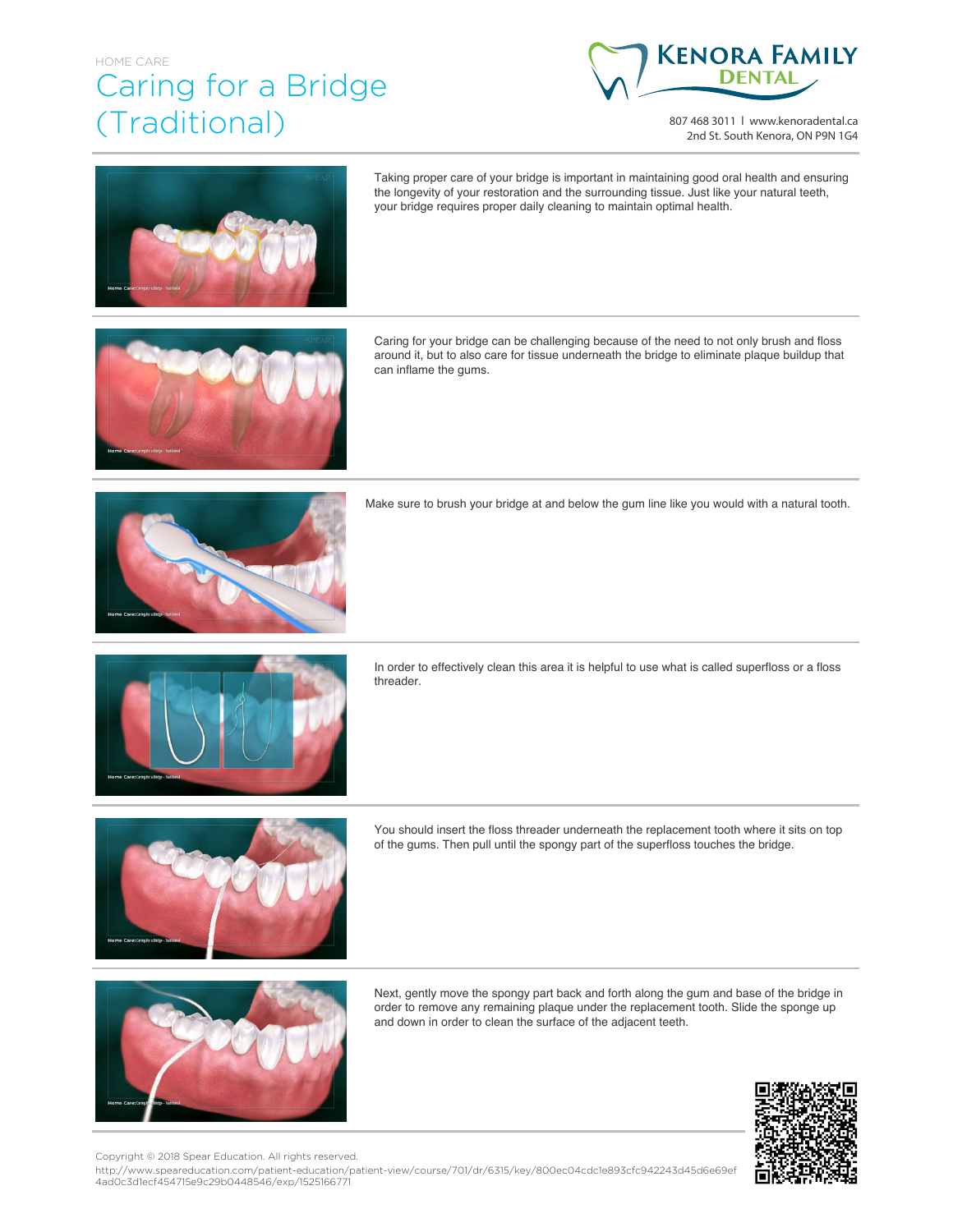## HOME CARE Caring for a Bridge (Traditional)



807 468 3011 | www.kenoradental.ca 2nd St. South Kenora, ON P9N 1G4



Taking proper care of your bridge is important in maintaining good oral health and ensuring the longevity of your restoration and the surrounding tissue. Just like your natural teeth, your bridge requires proper daily cleaning to maintain optimal health.



Caring for your bridge can be challenging because of the need to not only brush and floss around it, but to also care for tissue underneath the bridge to eliminate plaque buildup that can inflame the gums.



Make sure to brush your bridge at and below the gum line like you would with a natural tooth.



In order to effectively clean this area it is helpful to use what is called superfloss or a floss threader.



You should insert the floss threader underneath the replacement tooth where it sits on top of the gums. Then pull until the spongy part of the superfloss touches the bridge.



Next, gently move the spongy part back and forth along the gum and base of the bridge in order to remove any remaining plaque under the replacement tooth. Slide the sponge up and down in order to clean the surface of the adjacent teeth.



Copyright © 2018 Spear Education. All rights reserved.

http://www.speareducation.com/patient-education/patient-view/course/701/dr/6315/key/800ec04cdc1e893cfc942243d45d6e69ef 4ad0c3d1ecf454715e9c29b0448546/exp/1525166771